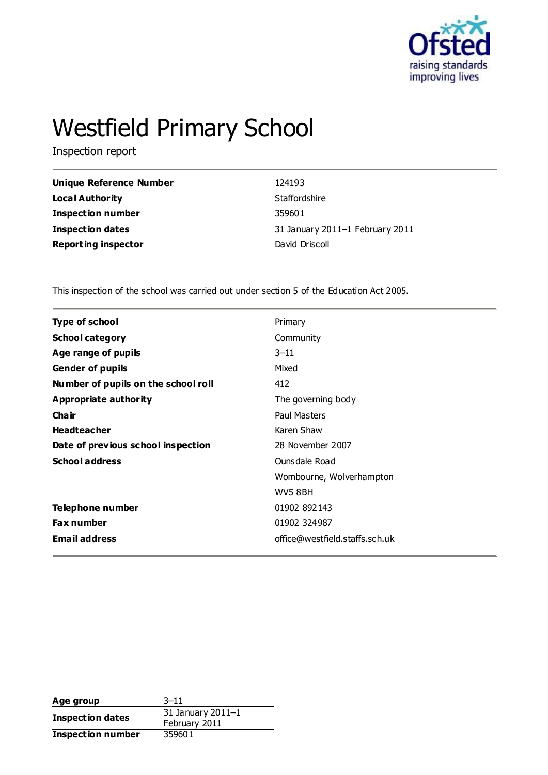

# Westfield Primary School

Inspection report

| Unique Reference Number    | 124193                          |
|----------------------------|---------------------------------|
| Local Authority            | Staffordshire                   |
| <b>Inspection number</b>   | 359601                          |
| <b>Inspection dates</b>    | 31 January 2011–1 February 2011 |
| <b>Reporting inspector</b> | David Driscoll                  |

This inspection of the school was carried out under section 5 of the Education Act 2005.

| Primary                        |
|--------------------------------|
| Community                      |
| $3 - 11$                       |
| Mixed                          |
| 412                            |
| The governing body             |
| Paul Masters                   |
| Karen Shaw                     |
| 28 November 2007               |
| Ounsdale Road                  |
| Wombourne, Wolverhampton       |
| <b>WV5 8BH</b>                 |
| 01902 892143                   |
| 01902 324987                   |
| office@westfield.staffs.sch.uk |
|                                |

Age group<br>Transaction data and 31 January 2011-1 **Inspection dates** February 2011 **Inspection number** 359601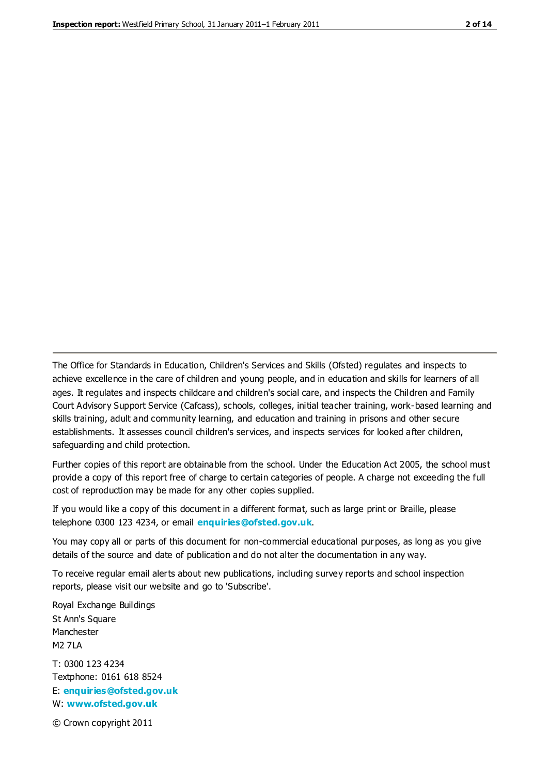The Office for Standards in Education, Children's Services and Skills (Ofsted) regulates and inspects to achieve excellence in the care of children and young people, and in education and skills for learners of all ages. It regulates and inspects childcare and children's social care, and inspects the Children and Family Court Advisory Support Service (Cafcass), schools, colleges, initial teacher training, work-based learning and skills training, adult and community learning, and education and training in prisons and other secure establishments. It assesses council children's services, and inspects services for looked after children, safeguarding and child protection.

Further copies of this report are obtainable from the school. Under the Education Act 2005, the school must provide a copy of this report free of charge to certain categories of people. A charge not exceeding the full cost of reproduction may be made for any other copies supplied.

If you would like a copy of this document in a different format, such as large print or Braille, please telephone 0300 123 4234, or email **[enquiries@ofsted.gov.uk](mailto:enquiries@ofsted.gov.uk)**.

You may copy all or parts of this document for non-commercial educational purposes, as long as you give details of the source and date of publication and do not alter the documentation in any way.

To receive regular email alerts about new publications, including survey reports and school inspection reports, please visit our website and go to 'Subscribe'.

Royal Exchange Buildings St Ann's Square Manchester M2 7LA T: 0300 123 4234 Textphone: 0161 618 8524 E: **[enquiries@ofsted.gov.uk](mailto:enquiries@ofsted.gov.uk)**

W: **[www.ofsted.gov.uk](http://www.ofsted.gov.uk/)**

© Crown copyright 2011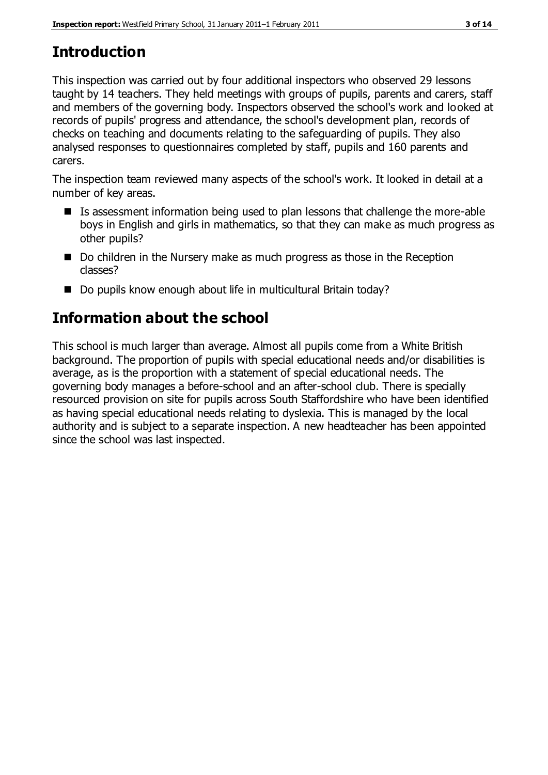# **Introduction**

This inspection was carried out by four additional inspectors who observed 29 lessons taught by 14 teachers. They held meetings with groups of pupils, parents and carers, staff and members of the governing body. Inspectors observed the school's work and looked at records of pupils' progress and attendance, the school's development plan, records of checks on teaching and documents relating to the safeguarding of pupils. They also analysed responses to questionnaires completed by staff, pupils and 160 parents and carers.

The inspection team reviewed many aspects of the school's work. It looked in detail at a number of key areas.

- Is assessment information being used to plan lessons that challenge the more-able boys in English and girls in mathematics, so that they can make as much progress as other pupils?
- Do children in the Nursery make as much progress as those in the Reception classes?
- Do pupils know enough about life in multicultural Britain today?

# **Information about the school**

This school is much larger than average. Almost all pupils come from a White British background. The proportion of pupils with special educational needs and/or disabilities is average, as is the proportion with a statement of special educational needs. The governing body manages a before-school and an after-school club. There is specially resourced provision on site for pupils across South Staffordshire who have been identified as having special educational needs relating to dyslexia. This is managed by the local authority and is subject to a separate inspection. A new headteacher has been appointed since the school was last inspected.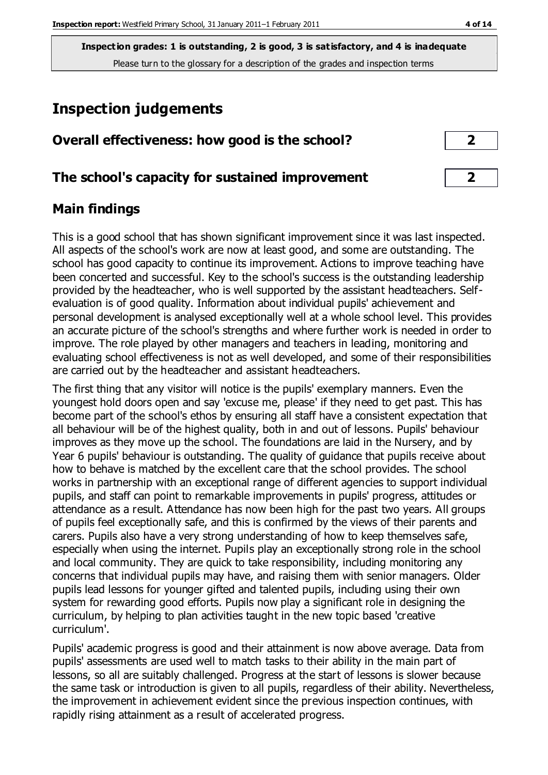# **Inspection judgements**

| Overall effectiveness: how good is the school? |  |
|------------------------------------------------|--|
|------------------------------------------------|--|

#### **The school's capacity for sustained improvement 2**

#### **Main findings**

This is a good school that has shown significant improvement since it was last inspected. All aspects of the school's work are now at least good, and some are outstanding. The school has good capacity to continue its improvement. Actions to improve teaching have been concerted and successful. Key to the school's success is the outstanding leadership provided by the headteacher, who is well supported by the assistant headteachers. Selfevaluation is of good quality. Information about individual pupils' achievement and personal development is analysed exceptionally well at a whole school level. This provides an accurate picture of the school's strengths and where further work is needed in order to improve. The role played by other managers and teachers in leading, monitoring and evaluating school effectiveness is not as well developed, and some of their responsibilities are carried out by the headteacher and assistant headteachers.

The first thing that any visitor will notice is the pupils' exemplary manners. Even the youngest hold doors open and say 'excuse me, please' if they need to get past. This has become part of the school's ethos by ensuring all staff have a consistent expectation that all behaviour will be of the highest quality, both in and out of lessons. Pupils' behaviour improves as they move up the school. The foundations are laid in the Nursery, and by Year 6 pupils' behaviour is outstanding. The quality of guidance that pupils receive about how to behave is matched by the excellent care that the school provides. The school works in partnership with an exceptional range of different agencies to support individual pupils, and staff can point to remarkable improvements in pupils' progress, attitudes or attendance as a result. Attendance has now been high for the past two years. All groups of pupils feel exceptionally safe, and this is confirmed by the views of their parents and carers. Pupils also have a very strong understanding of how to keep themselves safe, especially when using the internet. Pupils play an exceptionally strong role in the school and local community. They are quick to take responsibility, including monitoring any concerns that individual pupils may have, and raising them with senior managers. Older pupils lead lessons for younger gifted and talented pupils, including using their own system for rewarding good efforts. Pupils now play a significant role in designing the curriculum, by helping to plan activities taught in the new topic based 'creative curriculum'.

Pupils' academic progress is good and their attainment is now above average. Data from pupils' assessments are used well to match tasks to their ability in the main part of lessons, so all are suitably challenged. Progress at the start of lessons is slower because the same task or introduction is given to all pupils, regardless of their ability. Nevertheless, the improvement in achievement evident since the previous inspection continues, with rapidly rising attainment as a result of accelerated progress.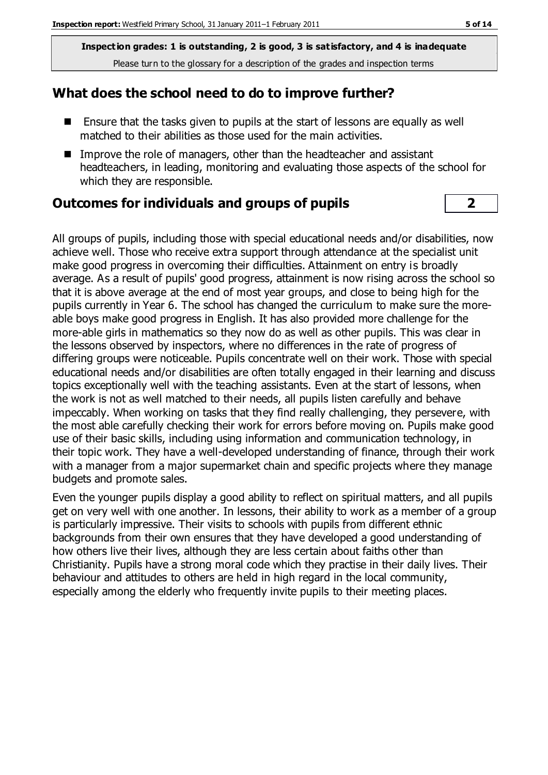#### **What does the school need to do to improve further?**

- Ensure that the tasks given to pupils at the start of lessons are equally as well matched to their abilities as those used for the main activities.
- Improve the role of managers, other than the headteacher and assistant headteachers, in leading, monitoring and evaluating those aspects of the school for which they are responsible.

#### **Outcomes for individuals and groups of pupils 2**

All groups of pupils, including those with special educational needs and/or disabilities, now achieve well. Those who receive extra support through attendance at the specialist unit make good progress in overcoming their difficulties. Attainment on entry is broadly average. As a result of pupils' good progress, attainment is now rising across the school so that it is above average at the end of most year groups, and close to being high for the pupils currently in Year 6. The school has changed the curriculum to make sure the moreable boys make good progress in English. It has also provided more challenge for the more-able girls in mathematics so they now do as well as other pupils. This was clear in the lessons observed by inspectors, where no differences in the rate of progress of differing groups were noticeable. Pupils concentrate well on their work. Those with special educational needs and/or disabilities are often totally engaged in their learning and discuss topics exceptionally well with the teaching assistants. Even at the start of lessons, when the work is not as well matched to their needs, all pupils listen carefully and behave impeccably. When working on tasks that they find really challenging, they persevere, with the most able carefully checking their work for errors before moving on. Pupils make good use of their basic skills, including using information and communication technology, in their topic work. They have a well-developed understanding of finance, through their work with a manager from a major supermarket chain and specific projects where they manage budgets and promote sales.

Even the younger pupils display a good ability to reflect on spiritual matters, and all pupils get on very well with one another. In lessons, their ability to work as a member of a group is particularly impressive. Their visits to schools with pupils from different ethnic backgrounds from their own ensures that they have developed a good understanding of how others live their lives, although they are less certain about faiths other than Christianity. Pupils have a strong moral code which they practise in their daily lives. Their behaviour and attitudes to others are held in high regard in the local community, especially among the elderly who frequently invite pupils to their meeting places.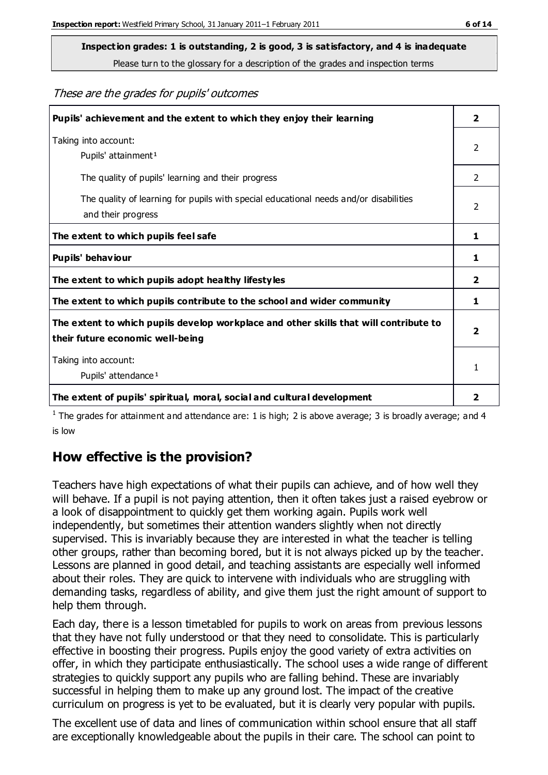**Inspection grades: 1 is outstanding, 2 is good, 3 is satisfactory, and 4 is inadequate**

Please turn to the glossary for a description of the grades and inspection terms

These are the grades for pupils' outcomes

| Pupils' achievement and the extent to which they enjoy their learning                                                     | $\overline{\mathbf{2}}$ |
|---------------------------------------------------------------------------------------------------------------------------|-------------------------|
| Taking into account:<br>Pupils' attainment <sup>1</sup>                                                                   | 2                       |
| The quality of pupils' learning and their progress                                                                        | $\mathcal{P}$           |
| The quality of learning for pupils with special educational needs and/or disabilities<br>and their progress               | 2                       |
| The extent to which pupils feel safe                                                                                      | 1                       |
| Pupils' behaviour                                                                                                         | 1                       |
| The extent to which pupils adopt healthy lifestyles                                                                       | 2                       |
| The extent to which pupils contribute to the school and wider community                                                   | 1                       |
| The extent to which pupils develop workplace and other skills that will contribute to<br>their future economic well-being |                         |
| Taking into account:<br>Pupils' attendance <sup>1</sup>                                                                   |                         |
| The extent of pupils' spiritual, moral, social and cultural development                                                   | 2                       |

<sup>1</sup> The grades for attainment and attendance are: 1 is high; 2 is above average; 3 is broadly average; and 4 is low

#### **How effective is the provision?**

Teachers have high expectations of what their pupils can achieve, and of how well they will behave. If a pupil is not paying attention, then it often takes just a raised eyebrow or a look of disappointment to quickly get them working again. Pupils work well independently, but sometimes their attention wanders slightly when not directly supervised. This is invariably because they are interested in what the teacher is telling other groups, rather than becoming bored, but it is not always picked up by the teacher. Lessons are planned in good detail, and teaching assistants are especially well informed about their roles. They are quick to intervene with individuals who are struggling with demanding tasks, regardless of ability, and give them just the right amount of support to help them through.

Each day, there is a lesson timetabled for pupils to work on areas from previous lessons that they have not fully understood or that they need to consolidate. This is particularly effective in boosting their progress. Pupils enjoy the good variety of extra activities on offer, in which they participate enthusiastically. The school uses a wide range of different strategies to quickly support any pupils who are falling behind. These are invariably successful in helping them to make up any ground lost. The impact of the creative curriculum on progress is yet to be evaluated, but it is clearly very popular with pupils.

The excellent use of data and lines of communication within school ensure that all staff are exceptionally knowledgeable about the pupils in their care. The school can point to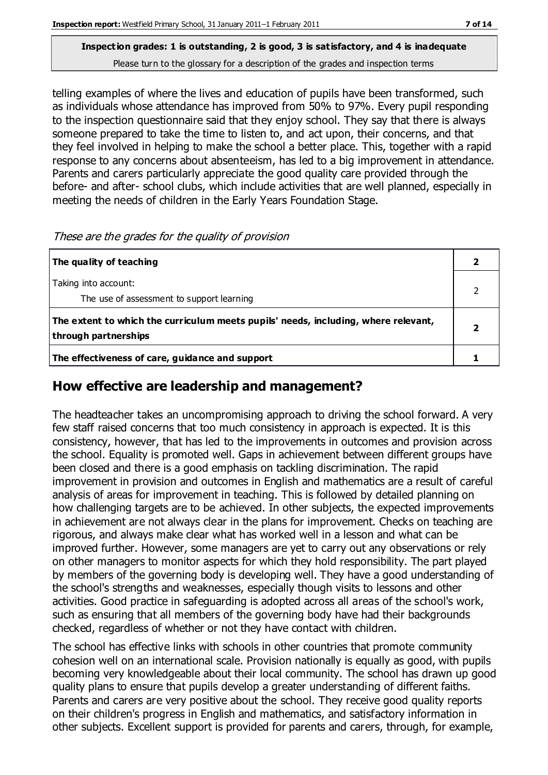telling examples of where the lives and education of pupils have been transformed, such as individuals whose attendance has improved from 50% to 97%. Every pupil responding to the inspection questionnaire said that they enjoy school. They say that there is always someone prepared to take the time to listen to, and act upon, their concerns, and that they feel involved in helping to make the school a better place. This, together with a rapid response to any concerns about absenteeism, has led to a big improvement in attendance. Parents and carers particularly appreciate the good quality care provided through the before- and after- school clubs, which include activities that are well planned, especially in meeting the needs of children in the Early Years Foundation Stage.

| The quality of teaching                                                                                    |  |
|------------------------------------------------------------------------------------------------------------|--|
| Taking into account:<br>The use of assessment to support learning                                          |  |
| The extent to which the curriculum meets pupils' needs, including, where relevant,<br>through partnerships |  |
| The effectiveness of care, guidance and support                                                            |  |

These are the grades for the quality of provision

#### **How effective are leadership and management?**

The headteacher takes an uncompromising approach to driving the school forward. A very few staff raised concerns that too much consistency in approach is expected. It is this consistency, however, that has led to the improvements in outcomes and provision across the school. Equality is promoted well. Gaps in achievement between different groups have been closed and there is a good emphasis on tackling discrimination. The rapid improvement in provision and outcomes in English and mathematics are a result of careful analysis of areas for improvement in teaching. This is followed by detailed planning on how challenging targets are to be achieved. In other subjects, the expected improvements in achievement are not always clear in the plans for improvement. Checks on teaching are rigorous, and always make clear what has worked well in a lesson and what can be improved further. However, some managers are yet to carry out any observations or rely on other managers to monitor aspects for which they hold responsibility. The part played by members of the governing body is developing well. They have a good understanding of the school's strengths and weaknesses, especially though visits to lessons and other activities. Good practice in safeguarding is adopted across all areas of the school's work, such as ensuring that all members of the governing body have had their backgrounds checked, regardless of whether or not they have contact with children.

The school has effective links with schools in other countries that promote community cohesion well on an international scale. Provision nationally is equally as good, with pupils becoming very knowledgeable about their local community. The school has drawn up good quality plans to ensure that pupils develop a greater understanding of different faiths. Parents and carers are very positive about the school. They receive good quality reports on their children's progress in English and mathematics, and satisfactory information in other subjects. Excellent support is provided for parents and carers, through, for example,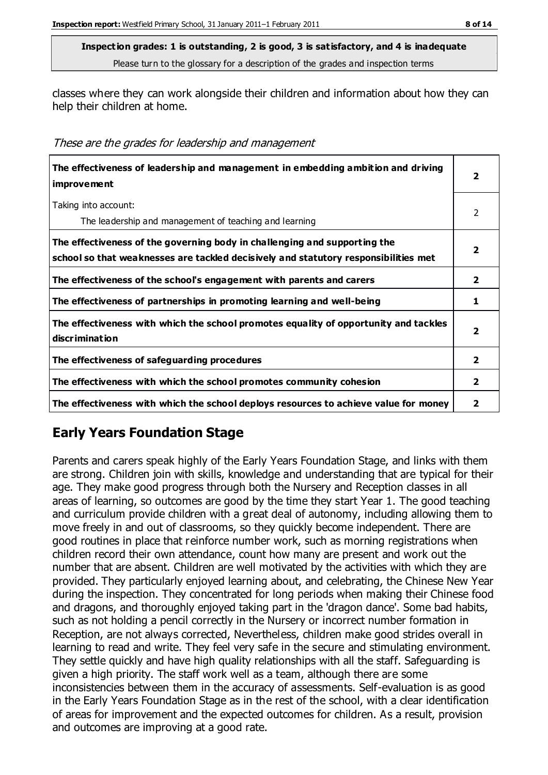classes where they can work alongside their children and information about how they can help their children at home.

These are the grades for leadership and management

| The effectiveness of leadership and management in embedding ambition and driving<br><i>improvement</i>                                                           |                |
|------------------------------------------------------------------------------------------------------------------------------------------------------------------|----------------|
| Taking into account:<br>The leadership and management of teaching and learning                                                                                   | 2              |
| The effectiveness of the governing body in challenging and supporting the<br>school so that weaknesses are tackled decisively and statutory responsibilities met | 2              |
| The effectiveness of the school's engagement with parents and carers                                                                                             | $\overline{2}$ |
| The effectiveness of partnerships in promoting learning and well-being                                                                                           | 1              |
| The effectiveness with which the school promotes equality of opportunity and tackles<br>discrimination                                                           | 2              |
| The effectiveness of safeguarding procedures                                                                                                                     | $\mathbf{2}$   |
| The effectiveness with which the school promotes community cohesion                                                                                              |                |
| The effectiveness with which the school deploys resources to achieve value for money                                                                             | 2              |

### **Early Years Foundation Stage**

Parents and carers speak highly of the Early Years Foundation Stage, and links with them are strong. Children join with skills, knowledge and understanding that are typical for their age. They make good progress through both the Nursery and Reception classes in all areas of learning, so outcomes are good by the time they start Year 1. The good teaching and curriculum provide children with a great deal of autonomy, including allowing them to move freely in and out of classrooms, so they quickly become independent. There are good routines in place that reinforce number work, such as morning registrations when children record their own attendance, count how many are present and work out the number that are absent. Children are well motivated by the activities with which they are provided. They particularly enjoyed learning about, and celebrating, the Chinese New Year during the inspection. They concentrated for long periods when making their Chinese food and dragons, and thoroughly enjoyed taking part in the 'dragon dance'. Some bad habits, such as not holding a pencil correctly in the Nursery or incorrect number formation in Reception, are not always corrected, Nevertheless, children make good strides overall in learning to read and write. They feel very safe in the secure and stimulating environment. They settle quickly and have high quality relationships with all the staff. Safeguarding is given a high priority. The staff work well as a team, although there are some inconsistencies between them in the accuracy of assessments. Self-evaluation is as good in the Early Years Foundation Stage as in the rest of the school, with a clear identification of areas for improvement and the expected outcomes for children. As a result, provision and outcomes are improving at a good rate.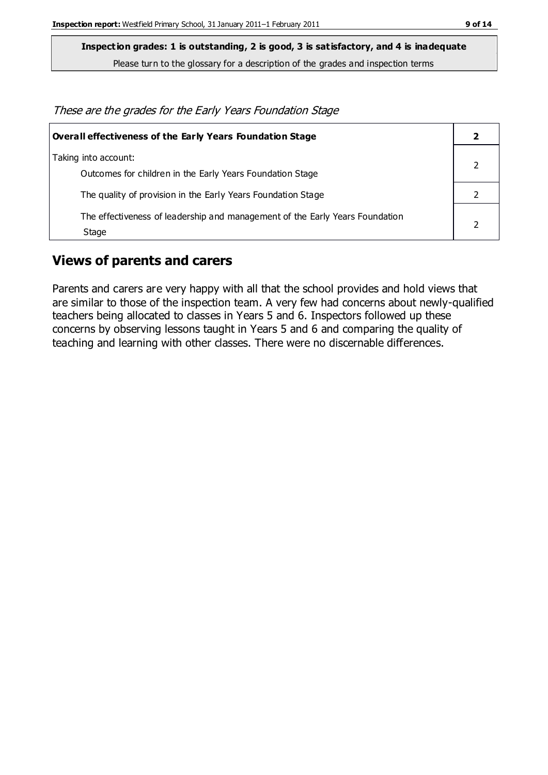**Inspection grades: 1 is outstanding, 2 is good, 3 is satisfactory, and 4 is inadequate**

Please turn to the glossary for a description of the grades and inspection terms

These are the grades for the Early Years Foundation Stage

| Overall effectiveness of the Early Years Foundation Stage                             |  |
|---------------------------------------------------------------------------------------|--|
| Taking into account:<br>Outcomes for children in the Early Years Foundation Stage     |  |
| The quality of provision in the Early Years Foundation Stage                          |  |
| The effectiveness of leadership and management of the Early Years Foundation<br>Stage |  |

#### **Views of parents and carers**

Parents and carers are very happy with all that the school provides and hold views that are similar to those of the inspection team. A very few had concerns about newly-qualified teachers being allocated to classes in Years 5 and 6. Inspectors followed up these concerns by observing lessons taught in Years 5 and 6 and comparing the quality of teaching and learning with other classes. There were no discernable differences.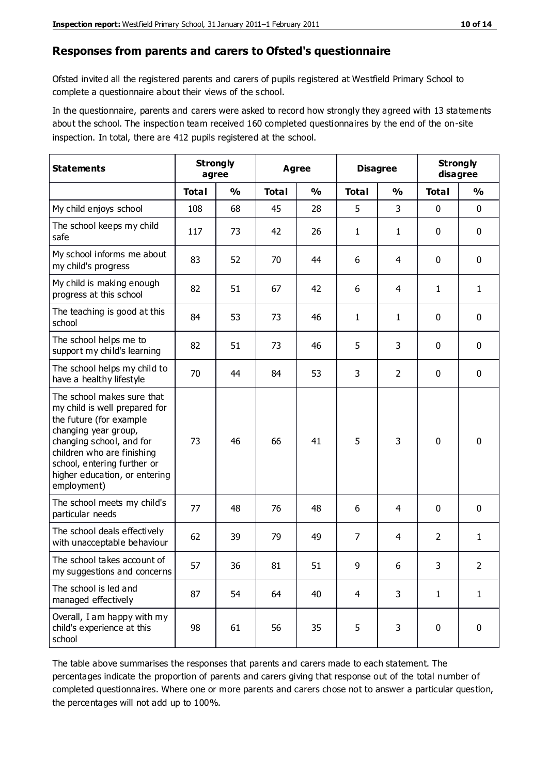#### **Responses from parents and carers to Ofsted's questionnaire**

Ofsted invited all the registered parents and carers of pupils registered at Westfield Primary School to complete a questionnaire about their views of the school.

In the questionnaire, parents and carers were asked to record how strongly they agreed with 13 statements about the school. The inspection team received 160 completed questionnaires by the end of the on-site inspection. In total, there are 412 pupils registered at the school.

| <b>Statements</b>                                                                                                                                                                                                                                       | <b>Strongly</b><br><b>Agree</b><br>agree |               |              | <b>Disagree</b> |                | <b>Strongly</b><br>disagree |                |               |
|---------------------------------------------------------------------------------------------------------------------------------------------------------------------------------------------------------------------------------------------------------|------------------------------------------|---------------|--------------|-----------------|----------------|-----------------------------|----------------|---------------|
|                                                                                                                                                                                                                                                         | <b>Total</b>                             | $\frac{0}{0}$ | <b>Total</b> | $\frac{0}{0}$   | <b>Total</b>   | $\frac{0}{0}$               | <b>Total</b>   | $\frac{1}{2}$ |
| My child enjoys school                                                                                                                                                                                                                                  | 108                                      | 68            | 45           | 28              | 5              | 3                           | $\mathbf 0$    | $\mathbf 0$   |
| The school keeps my child<br>safe                                                                                                                                                                                                                       | 117                                      | 73            | 42           | 26              | 1              | $\mathbf{1}$                | 0              | $\mathbf 0$   |
| My school informs me about<br>my child's progress                                                                                                                                                                                                       | 83                                       | 52            | 70           | 44              | 6              | 4                           | $\mathbf 0$    | $\mathbf 0$   |
| My child is making enough<br>progress at this school                                                                                                                                                                                                    | 82                                       | 51            | 67           | 42              | 6              | 4                           | 1              | $\mathbf{1}$  |
| The teaching is good at this<br>school                                                                                                                                                                                                                  | 84                                       | 53            | 73           | 46              | 1              | $\mathbf{1}$                | 0              | $\mathbf 0$   |
| The school helps me to<br>support my child's learning                                                                                                                                                                                                   | 82                                       | 51            | 73           | 46              | 5              | 3                           | $\mathbf 0$    | $\mathbf 0$   |
| The school helps my child to<br>have a healthy lifestyle                                                                                                                                                                                                | 70                                       | 44            | 84           | 53              | 3              | $\overline{2}$              | $\mathbf 0$    | $\mathbf 0$   |
| The school makes sure that<br>my child is well prepared for<br>the future (for example<br>changing year group,<br>changing school, and for<br>children who are finishing<br>school, entering further or<br>higher education, or entering<br>employment) | 73                                       | 46            | 66           | 41              | 5              | 3                           | $\mathbf 0$    | $\mathbf 0$   |
| The school meets my child's<br>particular needs                                                                                                                                                                                                         | 77                                       | 48            | 76           | 48              | 6              | 4                           | $\mathbf 0$    | $\mathbf 0$   |
| The school deals effectively<br>with unacceptable behaviour                                                                                                                                                                                             | 62                                       | 39            | 79           | 49              | 7              | 4                           | $\overline{2}$ | $\mathbf{1}$  |
| The school takes account of<br>my suggestions and concerns                                                                                                                                                                                              | 57                                       | 36            | 81           | 51              | 9              | 6                           | 3              | 2             |
| The school is led and<br>managed effectively                                                                                                                                                                                                            | 87                                       | 54            | 64           | 40              | $\overline{4}$ | 3                           | $\mathbf{1}$   | $\mathbf{1}$  |
| Overall, I am happy with my<br>child's experience at this<br>school                                                                                                                                                                                     | 98                                       | 61            | 56           | 35              | 5              | 3                           | $\mathbf 0$    | $\mathbf 0$   |

The table above summarises the responses that parents and carers made to each statement. The percentages indicate the proportion of parents and carers giving that response out of the total number of completed questionnaires. Where one or more parents and carers chose not to answer a particular question, the percentages will not add up to 100%.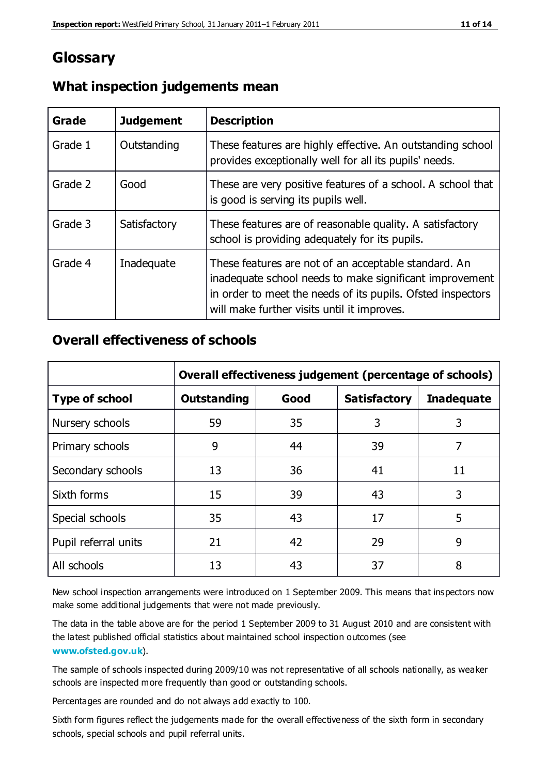## **Glossary**

| Grade   | <b>Judgement</b> | <b>Description</b>                                                                                                                                                                                                            |
|---------|------------------|-------------------------------------------------------------------------------------------------------------------------------------------------------------------------------------------------------------------------------|
| Grade 1 | Outstanding      | These features are highly effective. An outstanding school<br>provides exceptionally well for all its pupils' needs.                                                                                                          |
| Grade 2 | Good             | These are very positive features of a school. A school that<br>is good is serving its pupils well.                                                                                                                            |
| Grade 3 | Satisfactory     | These features are of reasonable quality. A satisfactory<br>school is providing adequately for its pupils.                                                                                                                    |
| Grade 4 | Inadequate       | These features are not of an acceptable standard. An<br>inadequate school needs to make significant improvement<br>in order to meet the needs of its pupils. Ofsted inspectors<br>will make further visits until it improves. |

#### **What inspection judgements mean**

#### **Overall effectiveness of schools**

|                       | Overall effectiveness judgement (percentage of schools) |      |                     |                   |
|-----------------------|---------------------------------------------------------|------|---------------------|-------------------|
| <b>Type of school</b> | <b>Outstanding</b>                                      | Good | <b>Satisfactory</b> | <b>Inadequate</b> |
| Nursery schools       | 59                                                      | 35   | 3                   | 3                 |
| Primary schools       | 9                                                       | 44   | 39                  | 7                 |
| Secondary schools     | 13                                                      | 36   | 41                  | 11                |
| Sixth forms           | 15                                                      | 39   | 43                  | 3                 |
| Special schools       | 35                                                      | 43   | 17                  | 5                 |
| Pupil referral units  | 21                                                      | 42   | 29                  | 9                 |
| All schools           | 13                                                      | 43   | 37                  | 8                 |

New school inspection arrangements were introduced on 1 September 2009. This means that inspectors now make some additional judgements that were not made previously.

The data in the table above are for the period 1 September 2009 to 31 August 2010 and are consistent with the latest published official statistics about maintained school inspection outcomes (see **[www.ofsted.gov.uk](http://www.ofsted.gov.uk/)**).

The sample of schools inspected during 2009/10 was not representative of all schools nationally, as weaker schools are inspected more frequently than good or outstanding schools.

Percentages are rounded and do not always add exactly to 100.

Sixth form figures reflect the judgements made for the overall effectiveness of the sixth form in secondary schools, special schools and pupil referral units.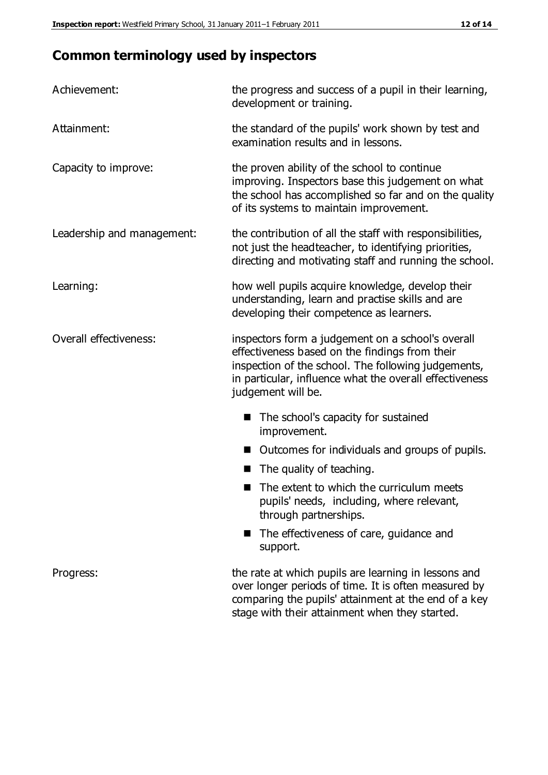# **Common terminology used by inspectors**

| Achievement:                  | the progress and success of a pupil in their learning,<br>development or training.                                                                                                                                                          |
|-------------------------------|---------------------------------------------------------------------------------------------------------------------------------------------------------------------------------------------------------------------------------------------|
| Attainment:                   | the standard of the pupils' work shown by test and<br>examination results and in lessons.                                                                                                                                                   |
| Capacity to improve:          | the proven ability of the school to continue<br>improving. Inspectors base this judgement on what<br>the school has accomplished so far and on the quality<br>of its systems to maintain improvement.                                       |
| Leadership and management:    | the contribution of all the staff with responsibilities,<br>not just the headteacher, to identifying priorities,<br>directing and motivating staff and running the school.                                                                  |
| Learning:                     | how well pupils acquire knowledge, develop their<br>understanding, learn and practise skills and are<br>developing their competence as learners.                                                                                            |
| <b>Overall effectiveness:</b> | inspectors form a judgement on a school's overall<br>effectiveness based on the findings from their<br>inspection of the school. The following judgements,<br>in particular, influence what the overall effectiveness<br>judgement will be. |
|                               | The school's capacity for sustained<br>improvement.                                                                                                                                                                                         |
|                               | Outcomes for individuals and groups of pupils.                                                                                                                                                                                              |
|                               | The quality of teaching.                                                                                                                                                                                                                    |
|                               | The extent to which the curriculum meets<br>pupils' needs, including, where relevant,<br>through partnerships.                                                                                                                              |
|                               | The effectiveness of care, guidance and<br>support.                                                                                                                                                                                         |
| Progress:                     | the rate at which pupils are learning in lessons and<br>over longer periods of time. It is often measured by<br>comparing the pupils' attainment at the end of a key                                                                        |

stage with their attainment when they started.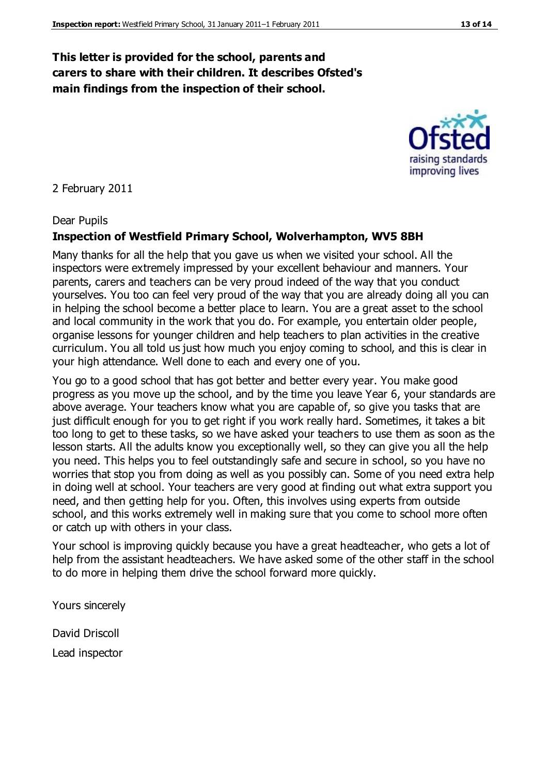#### **This letter is provided for the school, parents and carers to share with their children. It describes Ofsted's main findings from the inspection of their school.**

#### 2 February 2011

#### Dear Pupils

#### **Inspection of Westfield Primary School, Wolverhampton, WV5 8BH**

Many thanks for all the help that you gave us when we visited your school. All the inspectors were extremely impressed by your excellent behaviour and manners. Your parents, carers and teachers can be very proud indeed of the way that you conduct yourselves. You too can feel very proud of the way that you are already doing all you can in helping the school become a better place to learn. You are a great asset to the school and local community in the work that you do. For example, you entertain older people, organise lessons for younger children and help teachers to plan activities in the creative curriculum. You all told us just how much you enjoy coming to school, and this is clear in your high attendance. Well done to each and every one of you.

You go to a good school that has got better and better every year. You make good progress as you move up the school, and by the time you leave Year 6, your standards are above average. Your teachers know what you are capable of, so give you tasks that are just difficult enough for you to get right if you work really hard. Sometimes, it takes a bit too long to get to these tasks, so we have asked your teachers to use them as soon as the lesson starts. All the adults know you exceptionally well, so they can give you all the help you need. This helps you to feel outstandingly safe and secure in school, so you have no worries that stop you from doing as well as you possibly can. Some of you need extra help in doing well at school. Your teachers are very good at finding out what extra support you need, and then getting help for you. Often, this involves using experts from outside school, and this works extremely well in making sure that you come to school more often or catch up with others in your class.

Your school is improving quickly because you have a great headteacher, who gets a lot of help from the assistant headteachers. We have asked some of the other staff in the school to do more in helping them drive the school forward more quickly.

Yours sincerely

David Driscoll Lead inspector